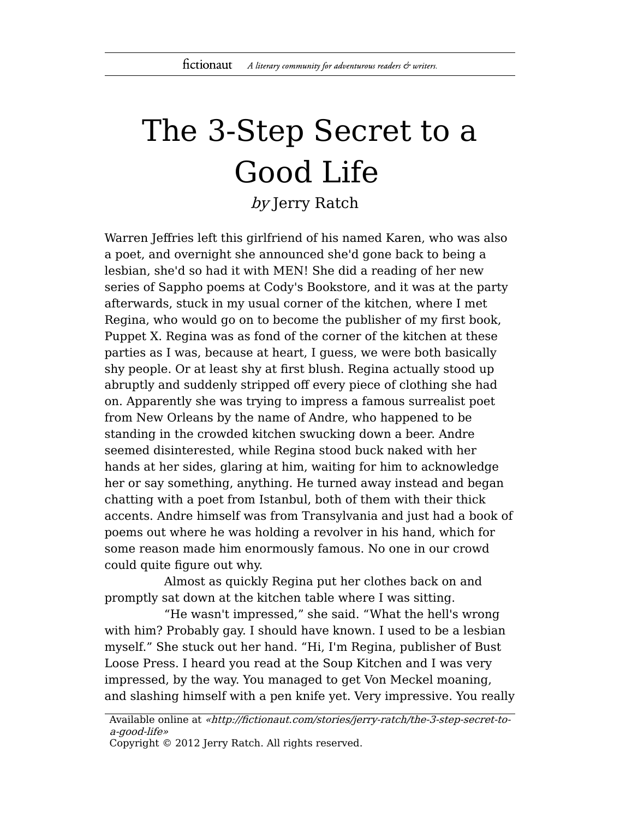## The 3-Step Secret to a Good Life

by Jerry Ratch

Warren Jeffries left this girlfriend of his named Karen, who was also a poet, and overnight she announced she'd gone back to being a lesbian, she'd so had it with MEN! She did a reading of her new series of Sappho poems at Cody's Bookstore, and it was at the party afterwards, stuck in my usual corner of the kitchen, where I met Regina, who would go on to become the publisher of my first book, Puppet X. Regina was as fond of the corner of the kitchen at these parties as I was, because at heart, I guess, we were both basically shy people. Or at least shy at first blush. Regina actually stood up abruptly and suddenly stripped off every piece of clothing she had on. Apparently she was trying to impress a famous surrealist poet from New Orleans by the name of Andre, who happened to be standing in the crowded kitchen swucking down a beer. Andre seemed disinterested, while Regina stood buck naked with her hands at her sides, glaring at him, waiting for him to acknowledge her or say something, anything. He turned away instead and began chatting with a poet from Istanbul, both of them with their thick accents. Andre himself was from Transylvania and just had a book of poems out where he was holding a revolver in his hand, which for some reason made him enormously famous. No one in our crowd could quite figure out why.

Almost as quickly Regina put her clothes back on and promptly sat down at the kitchen table where I was sitting.

"He wasn't impressed," she said. "What the hell's wrong with him? Probably gay. I should have known. I used to be a lesbian myself." She stuck out her hand. "Hi, I'm Regina, publisher of Bust Loose Press. I heard you read at the Soup Kitchen and I was very impressed, by the way. You managed to get Von Meckel moaning, and slashing himself with a pen knife yet. Very impressive. You really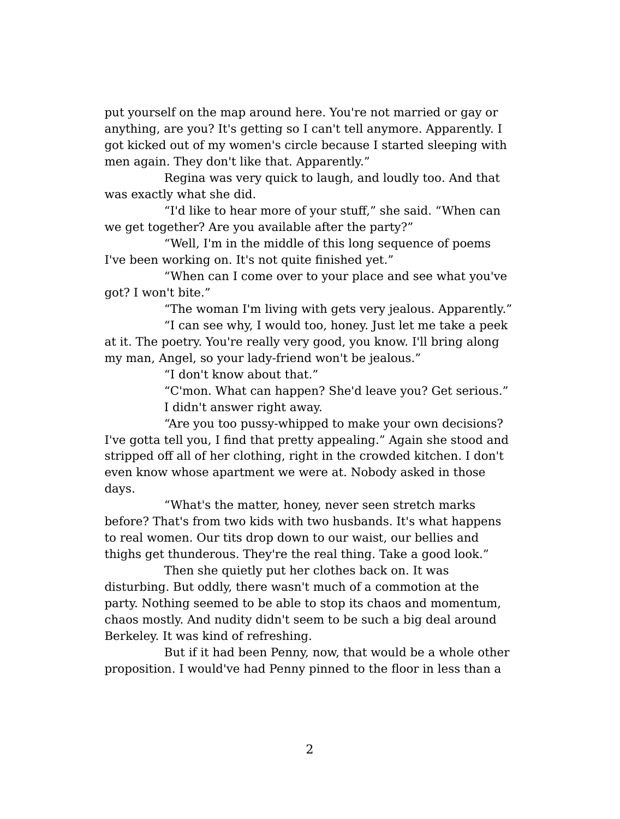put yourself on the map around here. You're not married or gay or anything, are you? It's getting so I can't tell anymore. Apparently. I got kicked out of my women's circle because I started sleeping with men again. They don't like that. Apparently."

Regina was very quick to laugh, and loudly too. And that was exactly what she did.

"I'd like to hear more of your stuff," she said. "When can we get together? Are you available after the party?"

"Well, I'm in the middle of this long sequence of poems I've been working on. It's not quite finished yet."

"When can I come over to your place and see what you've got? I won't bite."

"The woman I'm living with gets very jealous. Apparently."

"I can see why, I would too, honey. Just let me take a peek at it. The poetry. You're really very good, you know. I'll bring along my man, Angel, so your lady-friend won't be jealous."

"I don't know about that."

"C'mon. What can happen? She'd leave you? Get serious." I didn't answer right away.

"Are you too pussy-whipped to make your own decisions? I've gotta tell you, I find that pretty appealing." Again she stood and stripped off all of her clothing, right in the crowded kitchen. I don't even know whose apartment we were at. Nobody asked in those days.

"What's the matter, honey, never seen stretch marks before? That's from two kids with two husbands. It's what happens to real women. Our tits drop down to our waist, our bellies and thighs get thunderous. They're the real thing. Take a good look."

Then she quietly put her clothes back on. It was disturbing. But oddly, there wasn't much of a commotion at the party. Nothing seemed to be able to stop its chaos and momentum, chaos mostly. And nudity didn't seem to be such a big deal around Berkeley. It was kind of refreshing.

But if it had been Penny, now, that would be a whole other proposition. I would've had Penny pinned to the floor in less than a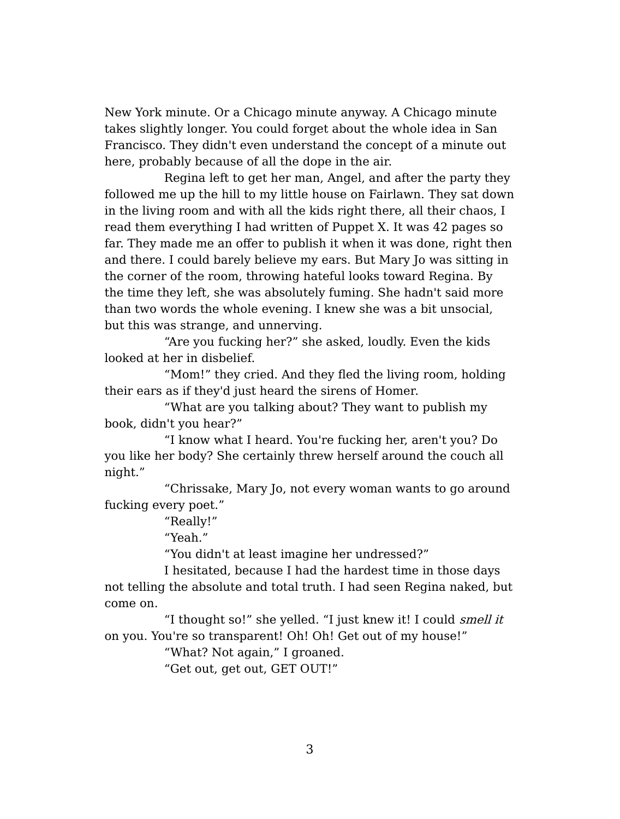New York minute. Or a Chicago minute anyway. A Chicago minute takes slightly longer. You could forget about the whole idea in San Francisco. They didn't even understand the concept of a minute out here, probably because of all the dope in the air.

Regina left to get her man, Angel, and after the party they followed me up the hill to my little house on Fairlawn. They sat down in the living room and with all the kids right there, all their chaos, I read them everything I had written of Puppet X. It was 42 pages so far. They made me an offer to publish it when it was done, right then and there. I could barely believe my ears. But Mary Jo was sitting in the corner of the room, throwing hateful looks toward Regina. By the time they left, she was absolutely fuming. She hadn't said more than two words the whole evening. I knew she was a bit unsocial, but this was strange, and unnerving.

"Are you fucking her?" she asked, loudly. Even the kids looked at her in disbelief.

"Mom!" they cried. And they fled the living room, holding their ears as if they'd just heard the sirens of Homer.

"What are you talking about? They want to publish my book, didn't you hear?"

"I know what I heard. You're fucking her, aren't you? Do you like her body? She certainly threw herself around the couch all night."

"Chrissake, Mary Jo, not every woman wants to go around fucking every poet."

"Really!"

"Yeah."

"You didn't at least imagine her undressed?"

I hesitated, because I had the hardest time in those days not telling the absolute and total truth. I had seen Regina naked, but come on.

"I thought so!" she yelled. "I just knew it! I could smell it on you. You're so transparent! Oh! Oh! Get out of my house!"

"What? Not again," I groaned.

"Get out, get out, GET OUT!"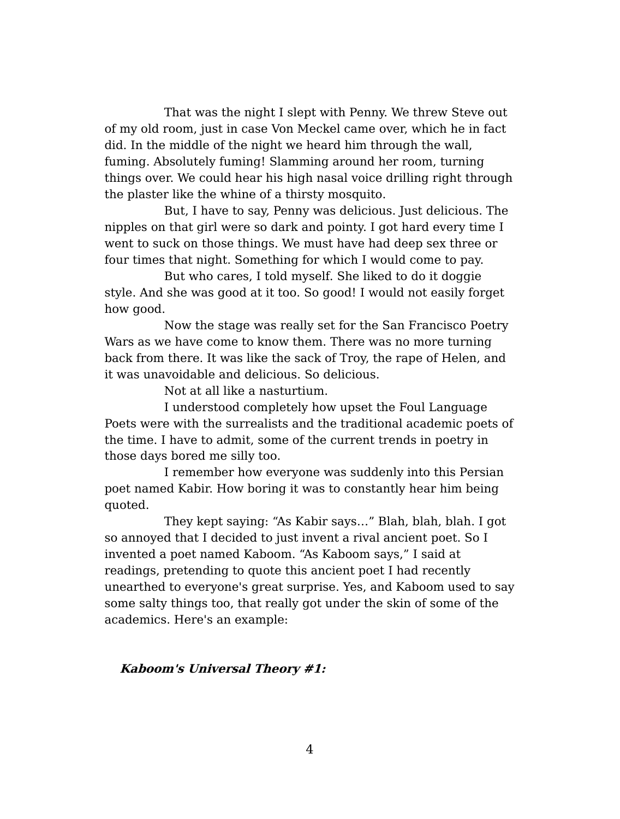That was the night I slept with Penny. We threw Steve out of my old room, just in case Von Meckel came over, which he in fact did. In the middle of the night we heard him through the wall, fuming. Absolutely fuming! Slamming around her room, turning things over. We could hear his high nasal voice drilling right through the plaster like the whine of a thirsty mosquito.

But, I have to say, Penny was delicious. Just delicious. The nipples on that girl were so dark and pointy. I got hard every time I went to suck on those things. We must have had deep sex three or four times that night. Something for which I would come to pay.

But who cares, I told myself. She liked to do it doggie style. And she was good at it too. So good! I would not easily forget how good.

Now the stage was really set for the San Francisco Poetry Wars as we have come to know them. There was no more turning back from there. It was like the sack of Troy, the rape of Helen, and it was unavoidable and delicious. So delicious.

Not at all like a nasturtium.

I understood completely how upset the Foul Language Poets were with the surrealists and the traditional academic poets of the time. I have to admit, some of the current trends in poetry in those days bored me silly too.

I remember how everyone was suddenly into this Persian poet named Kabir. How boring it was to constantly hear him being quoted.

They kept saying: "As Kabir says…" Blah, blah, blah. I got so annoyed that I decided to just invent a rival ancient poet. So I invented a poet named Kaboom. "As Kaboom says," I said at readings, pretending to quote this ancient poet I had recently unearthed to everyone's great surprise. Yes, and Kaboom used to say some salty things too, that really got under the skin of some of the academics. Here's an example:

## **Kaboom's Universal Theory #1:**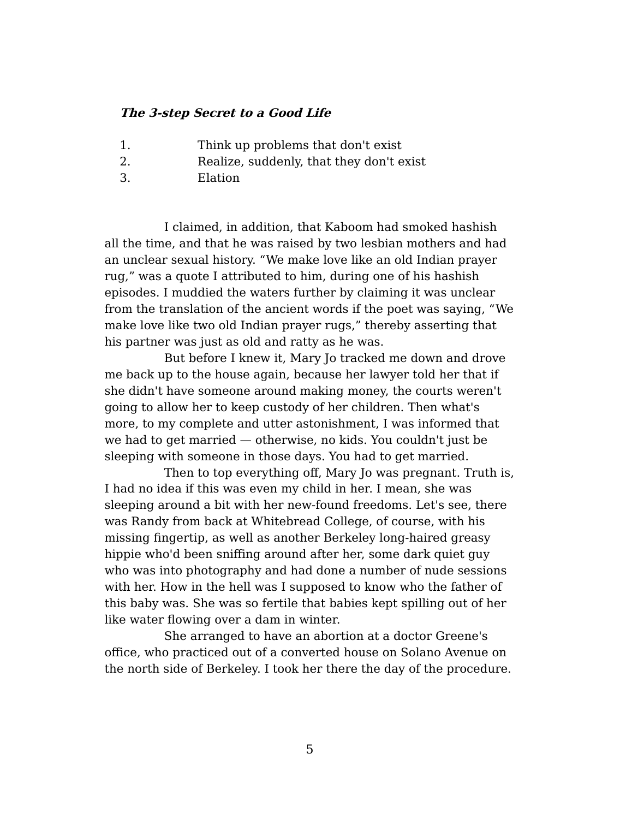## **The 3-step Secret to a Good Life**

- 1. Think up problems that don't exist
- 2. Realize, suddenly, that they don't exist
- 3. Elation

I claimed, in addition, that Kaboom had smoked hashish all the time, and that he was raised by two lesbian mothers and had an unclear sexual history. "We make love like an old Indian prayer rug," was a quote I attributed to him, during one of his hashish episodes. I muddied the waters further by claiming it was unclear from the translation of the ancient words if the poet was saying, "We make love like two old Indian prayer rugs," thereby asserting that his partner was just as old and ratty as he was.

But before I knew it, Mary Jo tracked me down and drove me back up to the house again, because her lawyer told her that if she didn't have someone around making money, the courts weren't going to allow her to keep custody of her children. Then what's more, to my complete and utter astonishment, I was informed that we had to get married — otherwise, no kids. You couldn't just be sleeping with someone in those days. You had to get married.

Then to top everything off, Mary Jo was pregnant. Truth is, I had no idea if this was even my child in her. I mean, she was sleeping around a bit with her new-found freedoms. Let's see, there was Randy from back at Whitebread College, of course, with his missing fingertip, as well as another Berkeley long-haired greasy hippie who'd been sniffing around after her, some dark quiet guy who was into photography and had done a number of nude sessions with her. How in the hell was I supposed to know who the father of this baby was. She was so fertile that babies kept spilling out of her like water flowing over a dam in winter.

She arranged to have an abortion at a doctor Greene's office, who practiced out of a converted house on Solano Avenue on the north side of Berkeley. I took her there the day of the procedure.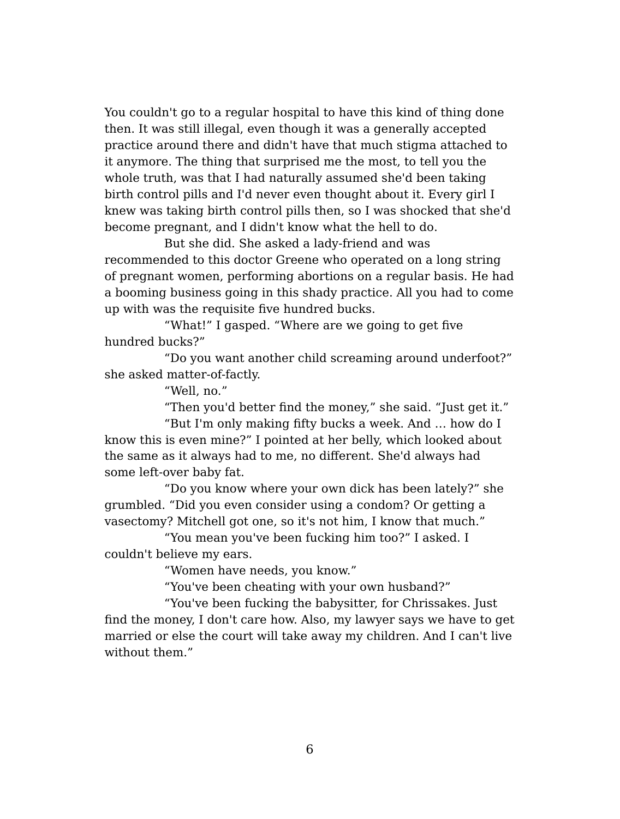You couldn't go to a regular hospital to have this kind of thing done then. It was still illegal, even though it was a generally accepted practice around there and didn't have that much stigma attached to it anymore. The thing that surprised me the most, to tell you the whole truth, was that I had naturally assumed she'd been taking birth control pills and I'd never even thought about it. Every girl I knew was taking birth control pills then, so I was shocked that she'd become pregnant, and I didn't know what the hell to do.

But she did. She asked a lady-friend and was recommended to this doctor Greene who operated on a long string of pregnant women, performing abortions on a regular basis. He had a booming business going in this shady practice. All you had to come up with was the requisite five hundred bucks.

"What!" I gasped. "Where are we going to get five hundred bucks?"

"Do you want another child screaming around underfoot?" she asked matter-of-factly.

"Well, no."

"Then you'd better find the money," she said. "Just get it."

"But I'm only making fifty bucks a week. And … how do I know this is even mine?" I pointed at her belly, which looked about the same as it always had to me, no different. She'd always had some left-over baby fat.

"Do you know where your own dick has been lately?" she grumbled. "Did you even consider using a condom? Or getting a vasectomy? Mitchell got one, so it's not him, I know that much."

"You mean you've been fucking him too?" I asked. I couldn't believe my ears.

"Women have needs, you know."

"You've been cheating with your own husband?"

"You've been fucking the babysitter, for Chrissakes. Just find the money, I don't care how. Also, my lawyer says we have to get married or else the court will take away my children. And I can't live without them."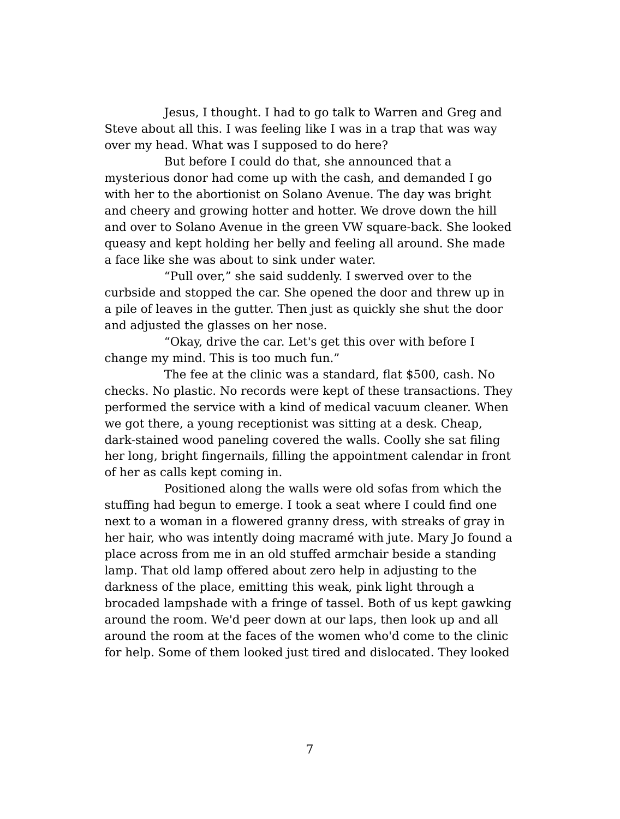Jesus, I thought. I had to go talk to Warren and Greg and Steve about all this. I was feeling like I was in a trap that was way over my head. What was I supposed to do here?

But before I could do that, she announced that a mysterious donor had come up with the cash, and demanded I go with her to the abortionist on Solano Avenue. The day was bright and cheery and growing hotter and hotter. We drove down the hill and over to Solano Avenue in the green VW square-back. She looked queasy and kept holding her belly and feeling all around. She made a face like she was about to sink under water.

"Pull over," she said suddenly. I swerved over to the curbside and stopped the car. She opened the door and threw up in a pile of leaves in the gutter. Then just as quickly she shut the door and adjusted the glasses on her nose.

"Okay, drive the car. Let's get this over with before I change my mind. This is too much fun."

The fee at the clinic was a standard, flat \$500, cash. No checks. No plastic. No records were kept of these transactions. They performed the service with a kind of medical vacuum cleaner. When we got there, a young receptionist was sitting at a desk. Cheap, dark-stained wood paneling covered the walls. Coolly she sat filing her long, bright fingernails, filling the appointment calendar in front of her as calls kept coming in.

Positioned along the walls were old sofas from which the stuffing had begun to emerge. I took a seat where I could find one next to a woman in a flowered granny dress, with streaks of gray in her hair, who was intently doing macramé with jute. Mary Jo found a place across from me in an old stuffed armchair beside a standing lamp. That old lamp offered about zero help in adjusting to the darkness of the place, emitting this weak, pink light through a brocaded lampshade with a fringe of tassel. Both of us kept gawking around the room. We'd peer down at our laps, then look up and all around the room at the faces of the women who'd come to the clinic for help. Some of them looked just tired and dislocated. They looked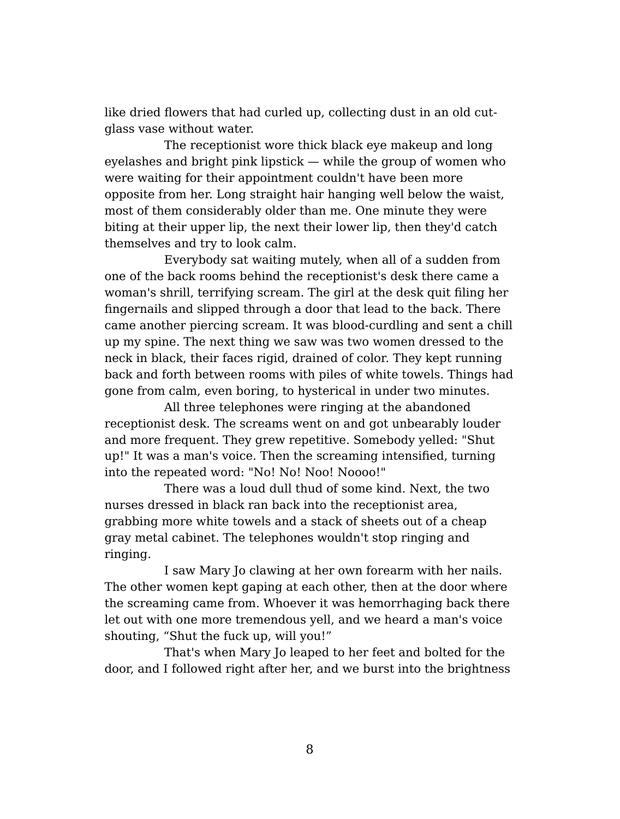like dried flowers that had curled up, collecting dust in an old cutglass vase without water.

The receptionist wore thick black eye makeup and long eyelashes and bright pink lipstick — while the group of women who were waiting for their appointment couldn't have been more opposite from her. Long straight hair hanging well below the waist, most of them considerably older than me. One minute they were biting at their upper lip, the next their lower lip, then they'd catch themselves and try to look calm.

Everybody sat waiting mutely, when all of a sudden from one of the back rooms behind the receptionist's desk there came a woman's shrill, terrifying scream. The girl at the desk quit filing her fingernails and slipped through a door that lead to the back. There came another piercing scream. It was blood-curdling and sent a chill up my spine. The next thing we saw was two women dressed to the neck in black, their faces rigid, drained of color. They kept running back and forth between rooms with piles of white towels. Things had gone from calm, even boring, to hysterical in under two minutes.

All three telephones were ringing at the abandoned receptionist desk. The screams went on and got unbearably louder and more frequent. They grew repetitive. Somebody yelled: "Shut up!" It was a man's voice. Then the screaming intensified, turning into the repeated word: "No! No! Noo! Noooo!"

There was a loud dull thud of some kind. Next, the two nurses dressed in black ran back into the receptionist area, grabbing more white towels and a stack of sheets out of a cheap gray metal cabinet. The telephones wouldn't stop ringing and ringing.

I saw Mary Jo clawing at her own forearm with her nails. The other women kept gaping at each other, then at the door where the screaming came from. Whoever it was hemorrhaging back there let out with one more tremendous yell, and we heard a man's voice shouting, "Shut the fuck up, will you!"

That's when Mary Jo leaped to her feet and bolted for the door, and I followed right after her, and we burst into the brightness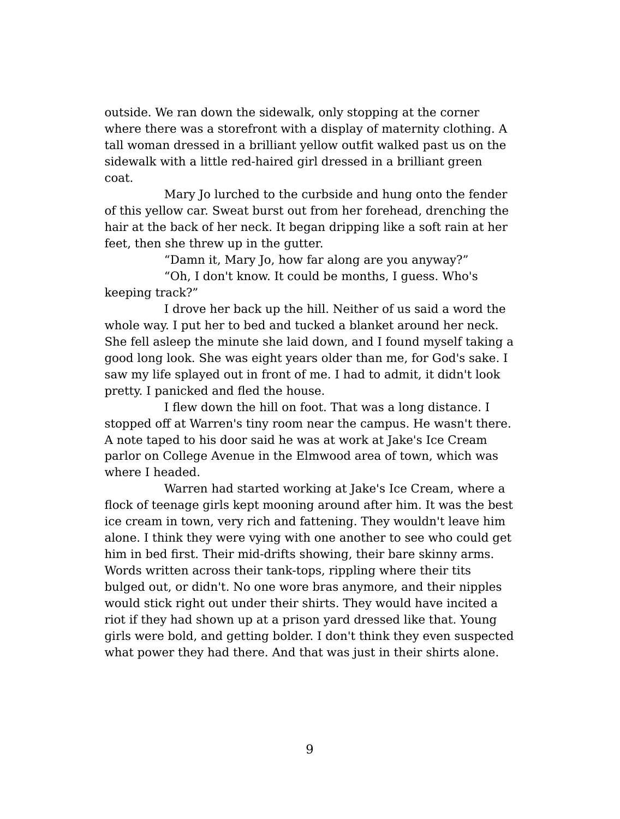outside. We ran down the sidewalk, only stopping at the corner where there was a storefront with a display of maternity clothing. A tall woman dressed in a brilliant yellow outfit walked past us on the sidewalk with a little red-haired girl dressed in a brilliant green coat.

Mary Jo lurched to the curbside and hung onto the fender of this yellow car. Sweat burst out from her forehead, drenching the hair at the back of her neck. It began dripping like a soft rain at her feet, then she threw up in the gutter.

"Damn it, Mary Jo, how far along are you anyway?"

"Oh, I don't know. It could be months, I guess. Who's keeping track?"

I drove her back up the hill. Neither of us said a word the whole way. I put her to bed and tucked a blanket around her neck. She fell asleep the minute she laid down, and I found myself taking a good long look. She was eight years older than me, for God's sake. I saw my life splayed out in front of me. I had to admit, it didn't look pretty. I panicked and fled the house.

I flew down the hill on foot. That was a long distance. I stopped off at Warren's tiny room near the campus. He wasn't there. A note taped to his door said he was at work at Jake's Ice Cream parlor on College Avenue in the Elmwood area of town, which was where I headed.

Warren had started working at Jake's Ice Cream, where a flock of teenage girls kept mooning around after him. It was the best ice cream in town, very rich and fattening. They wouldn't leave him alone. I think they were vying with one another to see who could get him in bed first. Their mid-drifts showing, their bare skinny arms. Words written across their tank-tops, rippling where their tits bulged out, or didn't. No one wore bras anymore, and their nipples would stick right out under their shirts. They would have incited a riot if they had shown up at a prison yard dressed like that. Young girls were bold, and getting bolder. I don't think they even suspected what power they had there. And that was just in their shirts alone.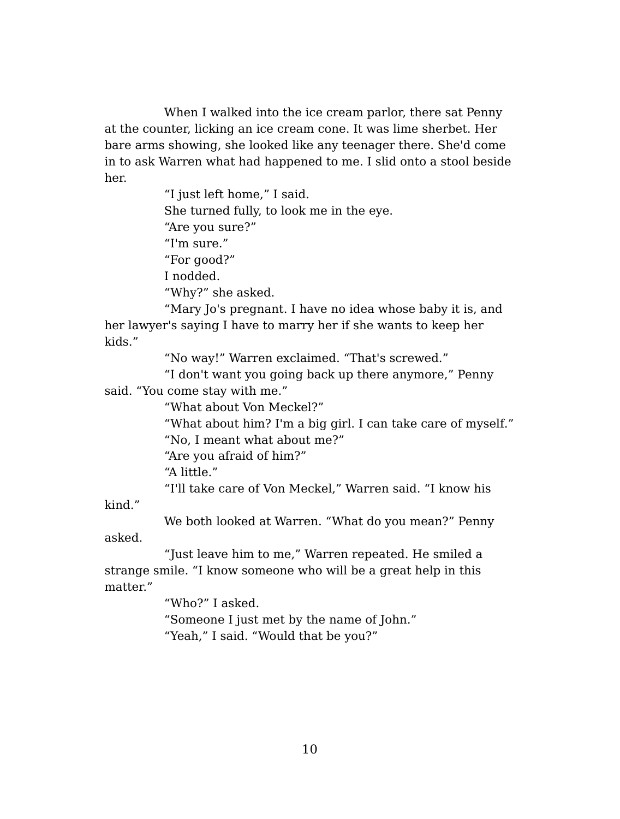When I walked into the ice cream parlor, there sat Penny at the counter, licking an ice cream cone. It was lime sherbet. Her bare arms showing, she looked like any teenager there. She'd come in to ask Warren what had happened to me. I slid onto a stool beside her.

"I just left home," I said.

She turned fully, to look me in the eye.

"Are you sure?"

"I'm sure."

"For good?"

I nodded.

"Why?" she asked.

"Mary Jo's pregnant. I have no idea whose baby it is, and her lawyer's saying I have to marry her if she wants to keep her kids."

"No way!" Warren exclaimed. "That's screwed."

"I don't want you going back up there anymore," Penny said. "You come stay with me."

"What about Von Meckel?"

"What about him? I'm a big girl. I can take care of myself." "No, I meant what about me?"

"Are you afraid of him?"

"A little."

"I'll take care of Von Meckel," Warren said. "I know his

kind."

We both looked at Warren. "What do you mean?" Penny asked.

"Just leave him to me," Warren repeated. He smiled a strange smile. "I know someone who will be a great help in this matter."

"Who?" I asked.

"Someone I just met by the name of John."

"Yeah," I said. "Would that be you?"